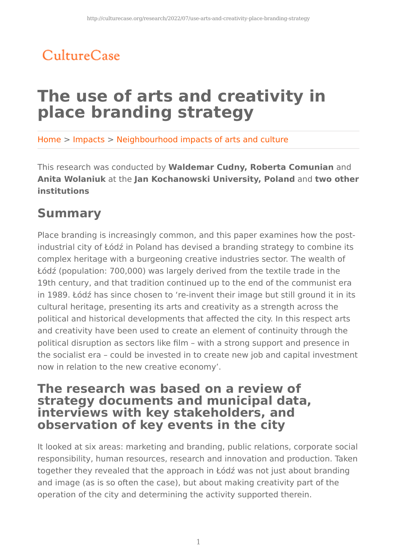## CultureCase

# **The use of arts and creativity in place branding strategy**

Home > Impacts > Neighbourhood impacts of arts and culture

This research was conducted by **Waldemar Cudny, Roberta Comunian** and **Anita Wolaniuk** at the **Jan Kochanowski University, Poland** and **two other institutions**

### **Summary**

Place branding is increasingly common, and this paper examines how the postindustrial city of Łódź in Poland has devised a branding strategy to combine its complex heritage with a burgeoning creative industries sector. The wealth of Łódź (population: 700,000) was largely derived from the textile trade in the 19th century, and that tradition continued up to the end of the communist era in 1989. Łódź has since chosen to 're-invent their image but still ground it in its cultural heritage, presenting its arts and creativity as a strength across the political and historical developments that affected the city. In this respect arts and creativity have been used to create an element of continuity through the political disruption as sectors like film – with a strong support and presence in the socialist era – could be invested in to create new job and capital investment now in relation to the new creative economy'.

### **The research was based on a review of strategy documents and municipal data, interviews with key stakeholders, and observation of key events in the city**

It looked at six areas: marketing and branding, public relations, corporate social responsibility, human resources, research and innovation and production. Taken together they revealed that the approach in Łódź was not just about branding and image (as is so often the case), but about making creativity part of the operation of the city and determining the activity supported therein.